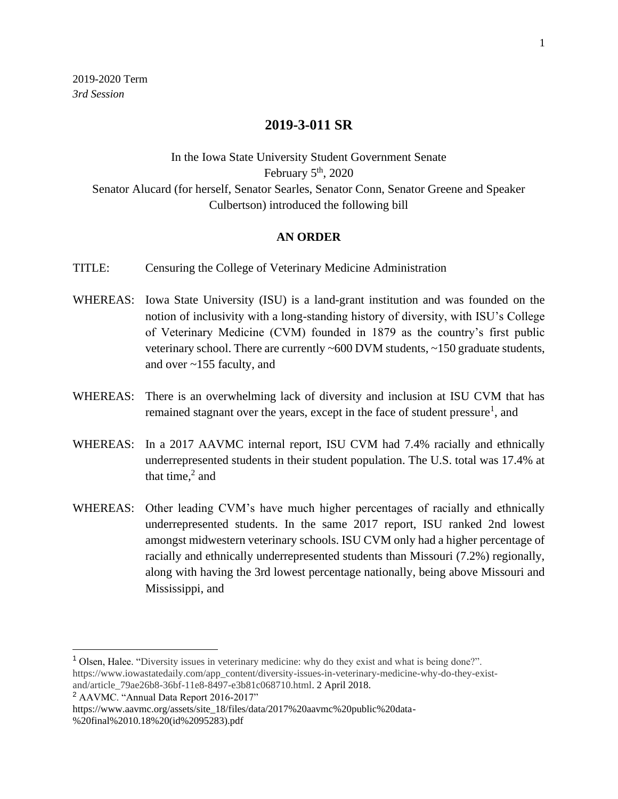## **2019-3-011 SR**

## In the Iowa State University Student Government Senate February  $5<sup>th</sup>$ , 2020 Senator Alucard (for herself, Senator Searles, Senator Conn, Senator Greene and Speaker Culbertson) introduced the following bill

## **AN ORDER**

TITLE: Censuring the College of Veterinary Medicine Administration

- WHEREAS: Iowa State University (ISU) is a land-grant institution and was founded on the notion of inclusivity with a long-standing history of diversity, with ISU's College of Veterinary Medicine (CVM) founded in 1879 as the country's first public veterinary school. There are currently ~600 DVM students, ~150 graduate students, and over ~155 faculty, and
- WHEREAS: There is an overwhelming lack of diversity and inclusion at ISU CVM that has remained stagnant over the years, except in the face of student pressure<sup>1</sup>, and
- WHEREAS: In a 2017 AAVMC internal report, ISU CVM had 7.4% racially and ethnically underrepresented students in their student population. The U.S. total was 17.4% at that time, $2$  and
- WHEREAS: Other leading CVM's have much higher percentages of racially and ethnically underrepresented students. In the same 2017 report, ISU ranked 2nd lowest amongst midwestern veterinary schools. ISU CVM only had a higher percentage of racially and ethnically underrepresented students than Missouri (7.2%) regionally, along with having the 3rd lowest percentage nationally, being above Missouri and Mississippi, and

<sup>1</sup> Olsen, Halee. "Diversity issues in veterinary medicine: why do they exist and what is being done?". https://www.iowastatedaily.com/app\_content/diversity-issues-in-veterinary-medicine-why-do-they-existand/article\_79ae26b8-36bf-11e8-8497-e3b81c068710.html. 2 April 2018.

<sup>2</sup> AAVMC. "Annual Data Report 2016-2017"

https://www.aavmc.org/assets/site\_18/files/data/2017%20aavmc%20public%20data- %20final%2010.18%20(id%2095283).pdf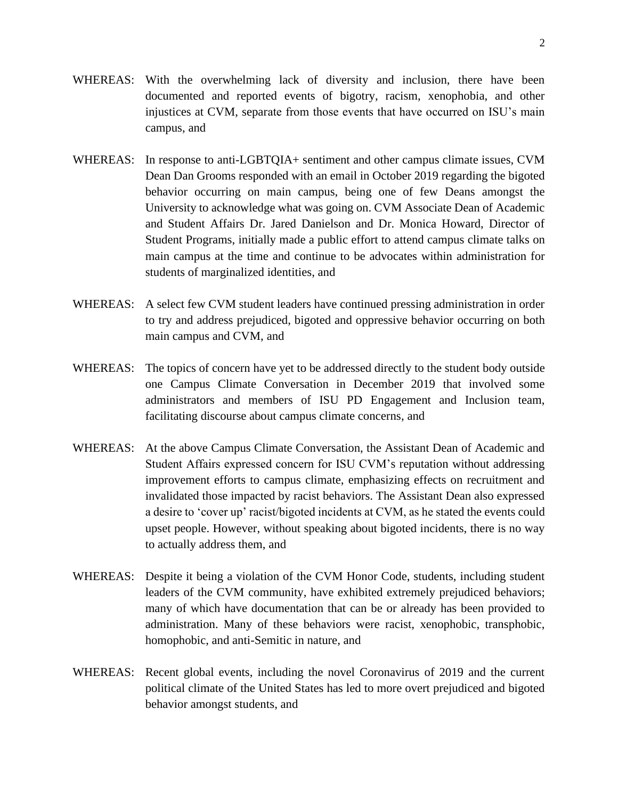- WHEREAS: With the overwhelming lack of diversity and inclusion, there have been documented and reported events of bigotry, racism, xenophobia, and other injustices at CVM, separate from those events that have occurred on ISU's main campus, and
- WHEREAS: In response to anti-LGBTQIA+ sentiment and other campus climate issues, CVM Dean Dan Grooms responded with an email in October 2019 regarding the bigoted behavior occurring on main campus, being one of few Deans amongst the University to acknowledge what was going on. CVM Associate Dean of Academic and Student Affairs Dr. Jared Danielson and Dr. Monica Howard, Director of Student Programs, initially made a public effort to attend campus climate talks on main campus at the time and continue to be advocates within administration for students of marginalized identities, and
- WHEREAS: A select few CVM student leaders have continued pressing administration in order to try and address prejudiced, bigoted and oppressive behavior occurring on both main campus and CVM, and
- WHEREAS: The topics of concern have yet to be addressed directly to the student body outside one Campus Climate Conversation in December 2019 that involved some administrators and members of ISU PD Engagement and Inclusion team, facilitating discourse about campus climate concerns, and
- WHEREAS: At the above Campus Climate Conversation, the Assistant Dean of Academic and Student Affairs expressed concern for ISU CVM's reputation without addressing improvement efforts to campus climate, emphasizing effects on recruitment and invalidated those impacted by racist behaviors. The Assistant Dean also expressed a desire to 'cover up' racist/bigoted incidents at CVM, as he stated the events could upset people. However, without speaking about bigoted incidents, there is no way to actually address them, and
- WHEREAS: Despite it being a violation of the CVM Honor Code, students, including student leaders of the CVM community, have exhibited extremely prejudiced behaviors; many of which have documentation that can be or already has been provided to administration. Many of these behaviors were racist, xenophobic, transphobic, homophobic, and anti-Semitic in nature, and
- WHEREAS: Recent global events, including the novel Coronavirus of 2019 and the current political climate of the United States has led to more overt prejudiced and bigoted behavior amongst students, and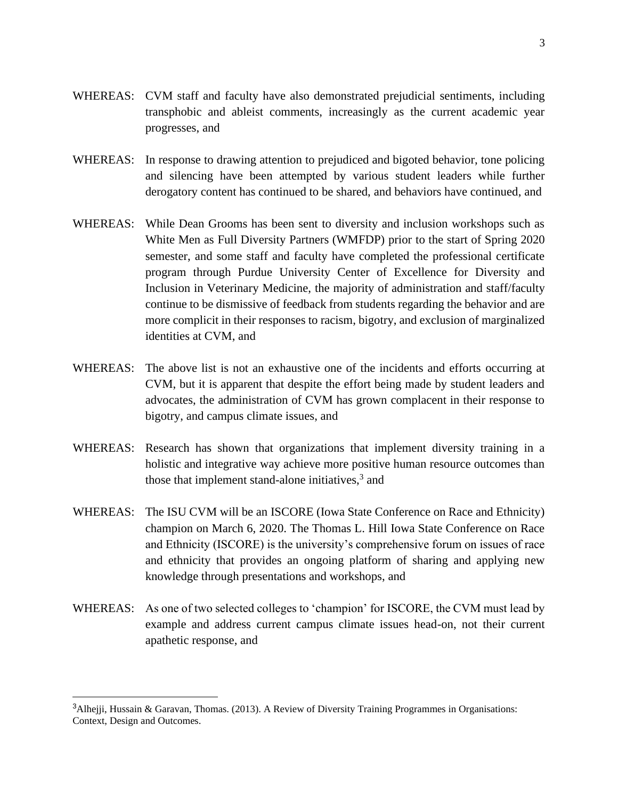- WHEREAS: CVM staff and faculty have also demonstrated prejudicial sentiments, including transphobic and ableist comments, increasingly as the current academic year progresses, and
- WHEREAS: In response to drawing attention to prejudiced and bigoted behavior, tone policing and silencing have been attempted by various student leaders while further derogatory content has continued to be shared, and behaviors have continued, and
- WHEREAS: While Dean Grooms has been sent to diversity and inclusion workshops such as White Men as Full Diversity Partners (WMFDP) prior to the start of Spring 2020 semester, and some staff and faculty have completed the professional certificate program through Purdue University Center of Excellence for Diversity and Inclusion in Veterinary Medicine, the majority of administration and staff/faculty continue to be dismissive of feedback from students regarding the behavior and are more complicit in their responses to racism, bigotry, and exclusion of marginalized identities at CVM, and
- WHEREAS: The above list is not an exhaustive one of the incidents and efforts occurring at CVM, but it is apparent that despite the effort being made by student leaders and advocates, the administration of CVM has grown complacent in their response to bigotry, and campus climate issues, and
- WHEREAS: Research has shown that organizations that implement diversity training in a holistic and integrative way achieve more positive human resource outcomes than those that implement stand-alone initiatives,<sup>3</sup> and
- WHEREAS: The ISU CVM will be an ISCORE (Iowa State Conference on Race and Ethnicity) champion on March 6, 2020. The Thomas L. Hill Iowa State Conference on Race and Ethnicity (ISCORE) is the university's comprehensive forum on issues of race and ethnicity that provides an ongoing platform of sharing and applying new knowledge through presentations and workshops, and
- WHEREAS: As one of two selected colleges to 'champion' for ISCORE, the CVM must lead by example and address current campus climate issues head-on, not their current apathetic response, and

<sup>&</sup>lt;sup>3</sup>Alhejji, Hussain & Garavan, Thomas. (2013). A Review of Diversity Training Programmes in Organisations: Context, Design and Outcomes.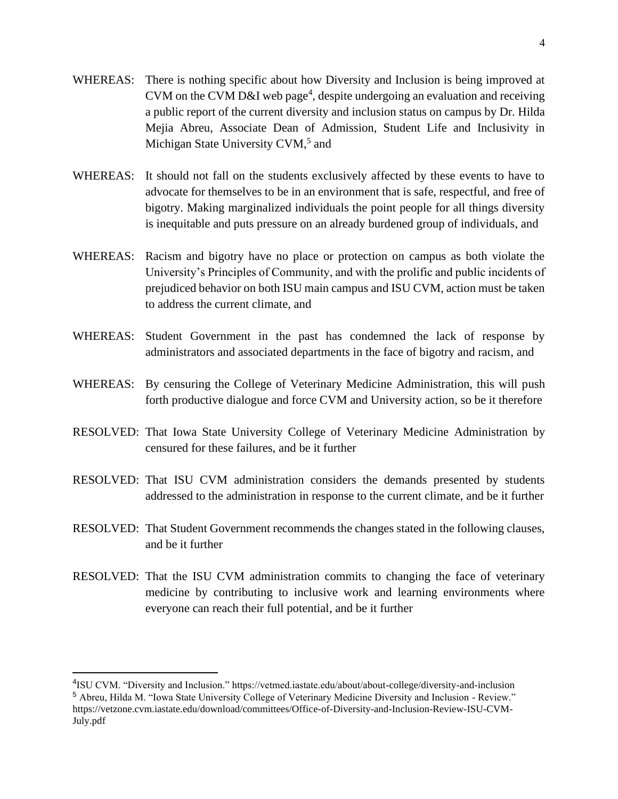- WHEREAS: There is nothing specific about how Diversity and Inclusion is being improved at CVM on the CVM D&I web page<sup>4</sup>, despite undergoing an evaluation and receiving a public report of the current diversity and inclusion status on campus by Dr. Hilda Mejia Abreu, Associate Dean of Admission, Student Life and Inclusivity in Michigan State University CVM,<sup>5</sup> and
- WHEREAS: It should not fall on the students exclusively affected by these events to have to advocate for themselves to be in an environment that is safe, respectful, and free of bigotry. Making marginalized individuals the point people for all things diversity is inequitable and puts pressure on an already burdened group of individuals, and
- WHEREAS: Racism and bigotry have no place or protection on campus as both violate the University's Principles of Community, and with the prolific and public incidents of prejudiced behavior on both ISU main campus and ISU CVM, action must be taken to address the current climate, and
- WHEREAS: Student Government in the past has condemned the lack of response by administrators and associated departments in the face of bigotry and racism, and
- WHEREAS: By censuring the College of Veterinary Medicine Administration, this will push forth productive dialogue and force CVM and University action, so be it therefore
- RESOLVED: That Iowa State University College of Veterinary Medicine Administration by censured for these failures, and be it further
- RESOLVED: That ISU CVM administration considers the demands presented by students addressed to the administration in response to the current climate, and be it further
- RESOLVED: That Student Government recommends the changes stated in the following clauses, and be it further
- RESOLVED: That the ISU CVM administration commits to changing the face of veterinary medicine by contributing to inclusive work and learning environments where everyone can reach their full potential, and be it further

<sup>4</sup> ISU CVM. "Diversity and Inclusion." https://vetmed.iastate.edu/about/about-college/diversity-and-inclusion <sup>5</sup> Abreu, Hilda M. "Iowa State University College of Veterinary Medicine Diversity and Inclusion - Review." https://vetzone.cvm.iastate.edu/download/committees/Office-of-Diversity-and-Inclusion-Review-ISU-CVM-July.pdf